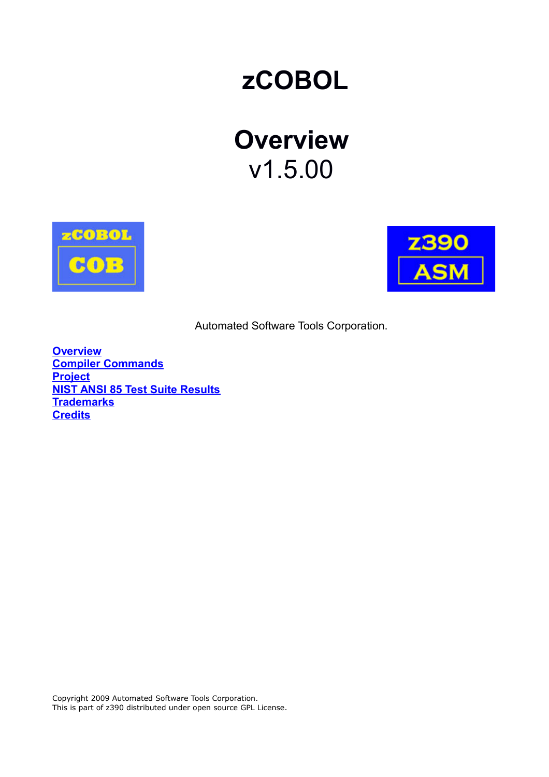# **zCOBOL**

# **Overview** v1.5.00





Automated Software Tools Corporation.

**[Overview](#page-1-0) [Compiler Commands](#page-2-1) [Project](#page-2-0) [NIST ANSI 85 Test Suite Results](#page-3-2) [Trademarks](#page-3-1) [Credits](#page-3-0)**

Copyright 2009 Automated Software Tools Corporation. This is part of z390 distributed under open source GPL License.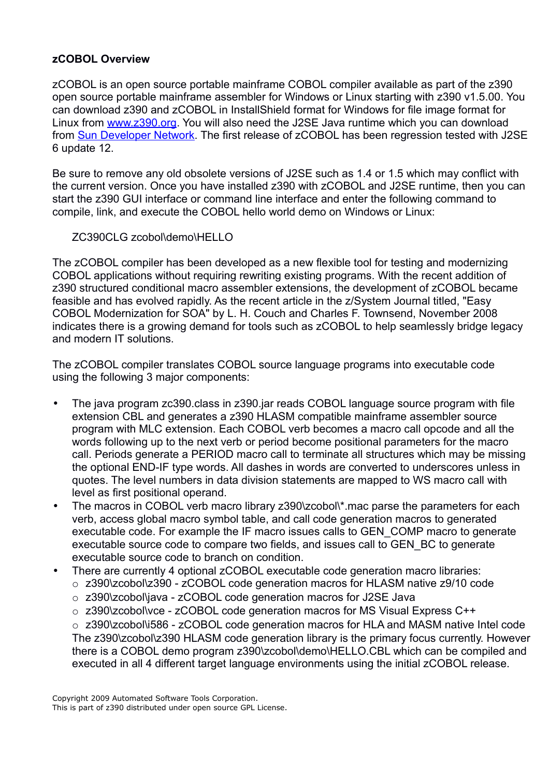# <span id="page-1-0"></span>**zCOBOL Overview**

zCOBOL is an open source portable mainframe COBOL compiler available as part of the z390 open source portable mainframe assembler for Windows or Linux starting with z390 v1.5.00. You can download z390 and zCOBOL in InstallShield format for Windows for file image format for Linux from [www.z390.org.](http://www.z390.org/) You will also need the J2SE Java runtime which you can download from [Sun Developer Network.](http://java.sun.com/javase/downloads/index.jsp) The first release of zCOBOL has been regression tested with J2SE 6 update 12.

Be sure to remove any old obsolete versions of J2SE such as 1.4 or 1.5 which may conflict with the current version. Once you have installed z390 with zCOBOL and J2SE runtime, then you can start the z390 GUI interface or command line interface and enter the following command to compile, link, and execute the COBOL hello world demo on Windows or Linux:

#### ZC390CLG zcobol\demo\HELLO

The zCOBOL compiler has been developed as a new flexible tool for testing and modernizing COBOL applications without requiring rewriting existing programs. With the recent addition of z390 structured conditional macro assembler extensions, the development of zCOBOL became feasible and has evolved rapidly. As the recent article in the z/System Journal titled, "Easy COBOL Modernization for SOA" by L. H. Couch and Charles F. Townsend, November 2008 indicates there is a growing demand for tools such as zCOBOL to help seamlessly bridge legacy and modern IT solutions.

The zCOBOL compiler translates COBOL source language programs into executable code using the following 3 major components:

- The java program zc390.class in z390.jar reads COBOL language source program with file extension CBL and generates a z390 HLASM compatible mainframe assembler source program with MLC extension. Each COBOL verb becomes a macro call opcode and all the words following up to the next verb or period become positional parameters for the macro call. Periods generate a PERIOD macro call to terminate all structures which may be missing the optional END-IF type words. All dashes in words are converted to underscores unless in quotes. The level numbers in data division statements are mapped to WS macro call with level as first positional operand.
- The macros in COBOL verb macro library z390\zcobol\\*.mac parse the parameters for each verb, access global macro symbol table, and call code generation macros to generated executable code. For example the IF macro issues calls to GEN\_COMP macro to generate executable source code to compare two fields, and issues call to GEN\_BC to generate executable source code to branch on condition.
- There are currently 4 optional zCOBOL executable code generation macro libraries:
	- o z390\zcobol\z390 zCOBOL code generation macros for HLASM native z9/10 code
	- o z390\zcobol\java zCOBOL code generation macros for J2SE Java
	- o z390\zcobol\vce zCOBOL code generation macros for MS Visual Express C++

o z390\zcobol\i586 - zCOBOL code generation macros for HLA and MASM native Intel code The z390\zcobol\z390 HLASM code generation library is the primary focus currently. However there is a COBOL demo program z390\zcobol\demo\HELLO.CBL which can be compiled and executed in all 4 different target language environments using the initial zCOBOL release.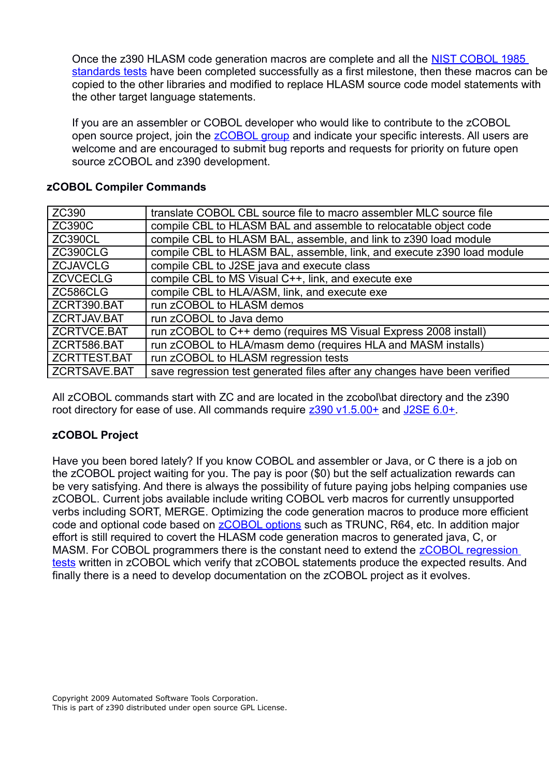Once the z390 HLASM code generation macros are complete and all the [NIST COBOL 1985](http://www.itl.nist.gov/div897/ctg/cobol_form.htm) [standards tests](http://www.itl.nist.gov/div897/ctg/cobol_form.htm) have been completed successfully as a first milestone, then these macros can be copied to the other libraries and modified to replace HLASM source code model statements with the other target language statements.

If you are an assembler or COBOL developer who would like to contribute to the zCOBOL open source project, join the **zCOBOL** group and indicate your specific interests. All users are welcome and are encouraged to submit bug reports and requests for priority on future open source zCOBOL and z390 development.

| ZC390           | translate COBOL CBL source file to macro assembler MLC source file        |  |  |
|-----------------|---------------------------------------------------------------------------|--|--|
| <b>ZC390C</b>   | compile CBL to HLASM BAL and assemble to relocatable object code          |  |  |
| <b>ZC390CL</b>  | compile CBL to HLASM BAL, assemble, and link to z390 load module          |  |  |
| ZC390CLG        | compile CBL to HLASM BAL, assemble, link, and execute z390 load module    |  |  |
| <b>ZCJAVCLG</b> | compile CBL to J2SE java and execute class                                |  |  |
| <b>ZCVCECLG</b> | compile CBL to MS Visual C++, link, and execute exe                       |  |  |
| ZC586CLG        | compile CBL to HLA/ASM, link, and execute exe                             |  |  |
| ZCRT390.BAT     | run zCOBOL to HLASM demos                                                 |  |  |
| ZCRTJAV.BAT     | run zCOBOL to Java demo                                                   |  |  |
| ZCRTVCE.BAT     | run zCOBOL to C++ demo (requires MS Visual Express 2008 install)          |  |  |
| ZCRT586.BAT     | run zCOBOL to HLA/masm demo (requires HLA and MASM installs)              |  |  |
| ZCRTTEST.BAT    | run zCOBOL to HLASM regression tests                                      |  |  |
| ZCRTSAVE.BAT    | save regression test generated files after any changes have been verified |  |  |
|                 |                                                                           |  |  |

#### <span id="page-2-1"></span>**zCOBOL Compiler Commands**

All zCOBOL commands start with ZC and are located in the zcobol\bat directory and the z390 root directory for ease of use. All commands require [z390 v1.5.00+](http://www.z390.org/) and [J2SE 6.0+.](http://java.sun.com/javase/downloads/index.jsp)

# <span id="page-2-0"></span>**zCOBOL Project**

<span id="page-2-2"></span>Have you been bored lately? If you know COBOL and assembler or Java, or C there is a job on the zCOBOL project waiting for you. The pay is poor (\$0) but the self actualization rewards can be very satisfying. And there is always the possibility of future paying jobs helping companies use zCOBOL. Current jobs available include writing COBOL verb macros for currently unsupported verbs including SORT, MERGE. Optimizing the code generation macros to produce more efficient code and optional code based on [zCOBOL options](http://www.zcobol.org/zcobol_options.htm) such as TRUNC, R64, etc. In addition major effort is still required to covert the HLASM code generation macros to generated java, C, or MASM. For COBOL programmers there is the constant need to extend the [zCOBOL regression](#page-2-2) [tests](#page-2-2) written in zCOBOL which verify that zCOBOL statements produce the expected results. And finally there is a need to develop documentation on the zCOBOL project as it evolves.